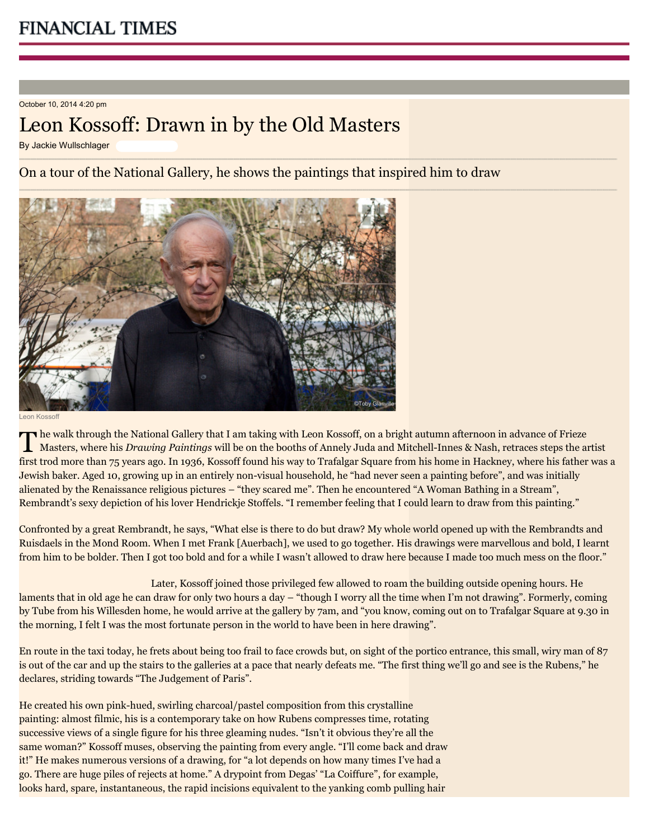October 10, 2014 4:20 pm

## Leon Kossoff: Drawn in by the Old Masters

By Jackie Wullschlager

On a tour of the National Gallery, he shows the paintings that inspired him to draw



Leon Kossoff

The walk through the National Gallery that I am taking with Leon Kossoff, on a bright autumn afternoon in advance of Frieze<br>Masters, where his *Drawing Paintings* will be on the booths of Annely Juda and Mitchell-Innes & N [he walk through the National Gallery that I am taking with](http://www.ft.com/intl/cms/s/2/2def3c12-3660-11e3-8ae3-00144feab7de.html) [Leon Kossoff](http://www.ft.com/intl/cms/s/2/2c3685aa-b0ce-11e2-9f24-00144feabdc0.html)[, on a bright autumn afternoon in advance of Frieze](http://www.ft.com/intl/cms/s/2/2def3c12-3660-11e3-8ae3-00144feab7de.html) first trod more than 75 years ago. In 1936, Kossoff found his way to Trafalgar Square from his home in Hackney, where his father was a Jewish baker. Aged 10, growing up in an entirely non-visual household, he "had never seen a painting before", and was initially alienated by the Renaissance religious pictures – "they scared me". Then he encountered "A Woman Bathing in a Stream", Rembrandt's sexy depiction of his lover Hendrickje Stoffels. "I remember feeling that I could learn to draw from this painting."

Confronted by a great Rembrandt, he says, "What else is there to do but draw? My whole world opened up with the Rembrandts and Ruisdaels in the Mond Room. When I met Frank [Auerbach], we used to go together. His drawings were marvellous and bold, I learnt from him to be bolder. Then I got too bold and for a while I wasn't allowed to draw here because I made too much mess on the floor."

Later, Kossoff joined those privileged few allowed to roam the building outside opening hours. He laments that in old age he can draw for only two hours a day – "though I worry all the time when I'm not drawing". Formerly, coming by Tube from his Willesden home, he would arrive at the gallery by 7am, and "you know, coming out on to Trafalgar Square at 9.30 in the morning, I felt I was the most fortunate person in the world to have been in here drawing".

En route in the taxi today, he frets about being too frail to face crowds but, on sight of the portico entrance, this small, wiry man of 87 is out of the car and up the stairs to the galleries at a pace that nearly defeats me. "The first thing we'll go and see is the Rubens," he declares, striding towards "The Judgement of Paris".

He created his own pink-hued, swirling charcoal/pastel composition from this crystalline painting: almost filmic, his is a contemporary take on how Rubens compresses time, rotating successive views of a single figure for his three gleaming nudes. "Isn't it obvious they're all the same woman?" Kossoff muses, observing the painting from every angle. "I'll come back and draw it!" He makes numerous versions of a drawing, for "a lot depends on how many times I've had a go. There are huge piles of rejects at home." A drypoint from Degas' "La Coiffure", for example, looks hard, spare, instantaneous, the rapid incisions equivalent to the yanking comb pulling hair